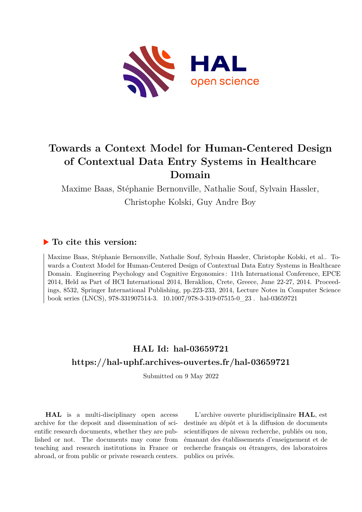

# **Towards a Context Model for Human-Centered Design of Contextual Data Entry Systems in Healthcare Domain**

Maxime Baas, Stéphanie Bernonville, Nathalie Souf, Sylvain Hassler, Christophe Kolski, Guy Andre Boy

### **To cite this version:**

Maxime Baas, Stéphanie Bernonville, Nathalie Souf, Sylvain Hassler, Christophe Kolski, et al.. Towards a Context Model for Human-Centered Design of Contextual Data Entry Systems in Healthcare Domain. Engineering Psychology and Cognitive Ergonomics : 11th International Conference, EPCE 2014, Held as Part of HCI International 2014, Heraklion, Crete, Greece, June 22-27, 2014. Proceedings, 8532, Springer International Publishing, pp.223-233, 2014, Lecture Notes in Computer Science book series (LNCS), 978-331907514-3. 10.1007/978-3-319-07515-0 23. hal-03659721

## **HAL Id: hal-03659721 <https://hal-uphf.archives-ouvertes.fr/hal-03659721>**

Submitted on 9 May 2022

**HAL** is a multi-disciplinary open access archive for the deposit and dissemination of scientific research documents, whether they are published or not. The documents may come from teaching and research institutions in France or abroad, or from public or private research centers.

L'archive ouverte pluridisciplinaire **HAL**, est destinée au dépôt et à la diffusion de documents scientifiques de niveau recherche, publiés ou non, émanant des établissements d'enseignement et de recherche français ou étrangers, des laboratoires publics ou privés.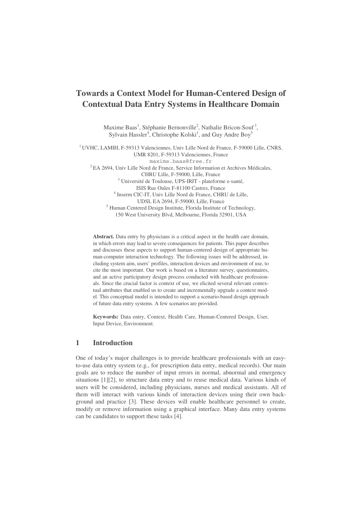## **Towards a Context Model for Human-Centered Design of Contextual Data Entry Systems in Healthcare Domain**

Maxime Baas<sup>1</sup>, Stéphanie Bernonville<sup>2</sup>, Nathalie Bricon-Souf<sup>3</sup>, Sylvain Hassler<sup>4</sup>, Christophe Kolski<sup>1</sup>, and Guy Andre Boy<sup>5</sup>

<sup>1</sup> UVHC, LAMIH, F-59313 Valenciennes, Univ Lille Nord de France, F-59000 Lille, CNRS, UMR 8201, F-59313 Valenciennes, France maxime.baas@free.fr  $^{2}$  EA 2694, Univ Lille Nord de France, Service Information et Archives Médicales,<br>CHRU Lille, F-59000, Lille, France CHRU Lille, F-59000, Lille, France 3 Université de Toulouse, UPS-IRIT - plateforme e-santé, ISIS Rue Oules F-81100 Castres, France 4 Inserm CIC-IT, Univ Lille Nord de France, CHRU de Lille, UDSL EA 2694, F-59000, Lille, France<br><sup>5</sup> Human Centered Design Institute, Florida Institute of Technology, 150 West University Blvd, Melbourne, Florida 32901, USA

**Abstract.** Data entry by physicians is a critical aspect in the health care domain, in which errors may lead to severe consequences for patients. This paper describes and discusses these aspects to support human-centered design of appropriate human-computer interaction technology. The following issues will be addressed, including system aim, users' profiles, interaction devices and environment of use, to cite the most important. Our work is based on a literature survey, questionnaires, and an active participatory design process conducted with healthcare professionals. Since the crucial factor is context of use, we elicited several relevant contextual attributes that enabled us to create and incrementally upgrade a context model. This conceptual model is intended to support a scenario-based design approach of future data entry systems. A few scenarios are provided.

**Keywords:** Data entry, Context, Health Care, Human-Centered Design, User, Input Device, Environment.

#### **1 Introduction**

One of today's major challenges is to provide healthcare professionals with an easyto-use data entry system (e.g., for prescription data entry, medical records). Our main goals are to reduce the number of input errors in normal, abnormal and emergency situations [1][2], to structure data entry and to reuse medical data. Various kinds of users will be considered, including physicians, nurses and medical assistants. All of them will interact with various kinds of interaction devices using their own background and practice [3]. These devices will enable healthcare personnel to create, modify or remove information using a graphical interface. Many data entry systems can be candidates to support these tasks [4].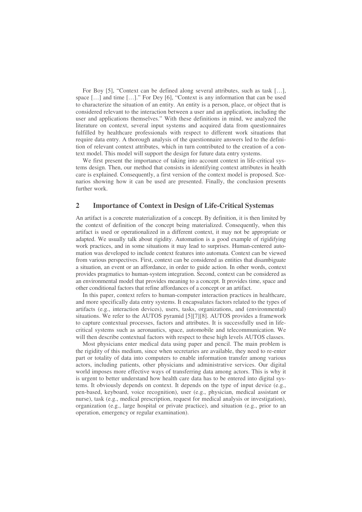For Boy [5], "Context can be defined along several attributes, such as task […], space […] and time […]." For Dey [6], "Context is any information that can be used to characterize the situation of an entity. An entity is a person, place, or object that is considered relevant to the interaction between a user and an application, including the user and applications themselves." With these definitions in mind, we analyzed the literature on context, several input systems and acquired data from questionnaires fulfilled by healthcare professionals with respect to different work situations that require data entry. A thorough analysis of the questionnaire answers led to the definition of relevant context attributes, which in turn contributed to the creation of a context model. This model will support the design for future data entry systems.

We first present the importance of taking into account context in life-critical systems design. Then, our method that consists in identifying context attributes in health care is explained. Consequently, a first version of the context model is proposed. Scenarios showing how it can be used are presented. Finally, the conclusion presents further work.

#### **2 Importance of Context in Design of Life-Critical Systemas**

An artifact is a concrete materialization of a concept. By definition, it is then limited by the context of definition of the concept being materialized. Consequently, when this artifact is used or operationalized in a different context, it may not be appropriate or adapted. We usually talk about rigidity. Automation is a good example of rigidifying work practices, and in some situations it may lead to surprises. Human-centered automation was developed to include context features into automata. Context can be viewed from various perspectives. First, context can be considered as entities that disambiguate a situation, an event or an affordance, in order to guide action. In other words, context provides pragmatics to human-system integration. Second, context can be considered as an environmental model that provides meaning to a concept. It provides time, space and other conditional factors that refine affordances of a concept or an artifact.

In this paper, context refers to human-computer interaction practices in healthcare, and more specifically data entry systems. It encapsulates factors related to the types of artifacts (e.g., interaction devices), users, tasks, organizations, and (environmental) situations. We refer to the AUTOS pyramid [5][7][8]. AUTOS provides a framework to capture contextual processes, factors and attributes. It is successfully used in lifecritical systems such as aeronautics, space, automobile and telecommunication. We will then describe contextual factors with respect to these high levels AUTOS classes.

Most physicians enter medical data using paper and pencil. The main problem is the rigidity of this medium, since when secretaries are available, they need to re-enter part or totality of data into computers to enable information transfer among various actors, including patients, other physicians and administrative services. Our digital world imposes more effective ways of transferring data among actors. This is why it is urgent to better understand how health care data has to be entered into digital systems. It obviously depends on context. It depends on the type of input device (e.g., pen-based, keyboard, voice recognition), user (e.g., physician, medical assistant or nurse), task (e.g., medical prescription, request for medical analysis or investigation), organization (e.g., large hospital or private practice), and situation (e.g., prior to an operation, emergency or regular examination).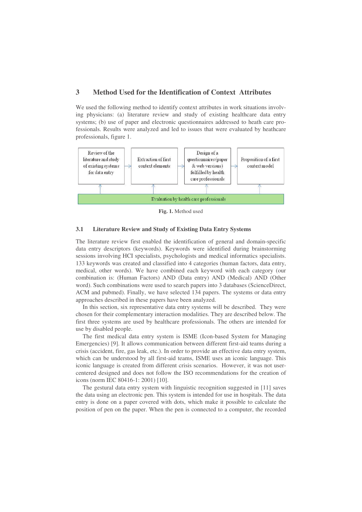#### **3 Method Used for the Identification of Context Attributes**

We used the following method to identify context attributes in work situations involving physicians: (a) literature review and study of existing healthcare data entry systems; (b) use of paper and electronic questionnaires addressed to heath care professionals. Results were analyzed and led to issues that were evaluated by heathcare professionals, figure 1.



**Fig. 1.** Method used

#### **3.1 Literature Review and Study of Existing Data Entry Systems**

The literature review first enabled the identification of general and domain-specific data entry descriptors (keywords). Keywords were identified during brainstorming sessions involving HCI specialists, psychologists and medical informatics specialists. 133 keywords was created and classified into 4 categories (human factors, data entry, medical, other words). We have combined each keyword with each category (our combination is: (Human Factors) AND (Data entry) AND (Medical) AND (Other word). Such combinations were used to search papers into 3 databases (ScienceDirect, ACM and pubmed). Finally, we have selected 134 papers. The systems or data entry approaches described in these papers have been analyzed.

In this section, six representative data entry systems will be described. They were chosen for their complementary interaction modalities. They are described below. The first three systems are used by healthcare professionals. The others are intended for use by disabled people.

The first medical data entry system is ISME (Icon-based System for Managing Emergencies) [9]. It allows communication between different first-aid teams during a crisis (accident, fire, gas leak, etc.). In order to provide an effective data entry system, which can be understood by all first-aid teams, ISME uses an iconic language. This iconic language is created from different crisis scenarios. However, it was not usercentered designed and does not follow the ISO recommendations for the creation of icons (norm IEC 80416-1: 2001) [10].

The gestural data entry system with linguistic recognition suggested in [11] saves the data using an electronic pen. This system is intended for use in hospitals. The data entry is done on a paper covered with dots, which make it possible to calculate the position of pen on the paper. When the pen is connected to a computer, the recorded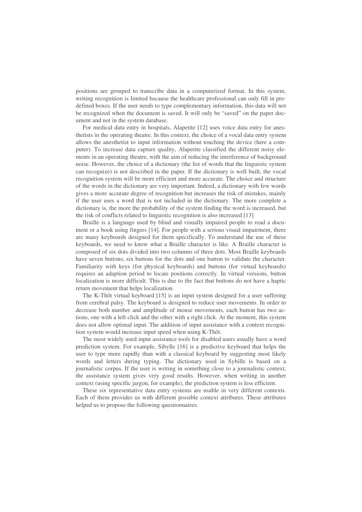positions are grouped to transcribe data in a computerized format. In this system, writing recognition is limited because the healthcare professional can only fill in predefined boxes. If the user needs to type complementary information, this data will not be recognized when the document is saved. It will only be "saved" on the paper document and not in the system database.

For medical data entry in hospitals, Alapetite [12] uses voice data entry for anesthetists in the operating theatre. In this context, the choice of a vocal data entry system allows the anesthetist to input information without touching the device (here a computer). To increase data capture quality, Alapetite classified the different noisy elements in an operating theatre, with the aim of reducing the interference of background noise. However, the choice of a dictionary (the list of words that the linguistic system can recognize) is not described in the paper. If the dictionary is well built, the vocal recognition system will be more efficient and more accurate. The choice and structure of the words in the dictionary are very important. Indeed, a dictionary with few words gives a more accurate degree of recognition but increases the risk of mistakes, mainly if the user uses a word that is not included in the dictionary. The more complete a dictionary is, the more the probability of the system finding the word is increased, but the risk of conflicts related to linguistic recognition is also increased [13]

Braille is a language used by blind and visually impaired people to read a document or a book using fingers [14]. For people with a serious visual impairment, there are many keyboards designed for them specifically. To understand the use of these keyboards, we need to know what a Braille character is like. A Braille character is composed of six dots divided into two columns of three dots. Most Braille keyboards have seven buttons, six buttons for the dots and one button to validate the character. Familiarity with keys (for physical keyboards) and buttons (for virtual keyboards) requires an adaption period to locate positions correctly. In virtual versions, button localization is more difficult. This is due to the fact that buttons do not have a haptic return movement that helps localization.

The K-Thôt virtual keyboard [15] is an input system designed for a user suffering from cerebral palsy. The keyboard is designed to reduce user movements. In order to decrease both number and amplitude of mouse movements, each button has two actions, one with a left click and the other with a right click. At the moment, this system does not allow optimal input. The addition of input assistance with a context recognition system would increase input speed when using K-Thôt.

The most widely used input assistance tools for disabled users usually have a word prediction system. For example, Sibylle [16] is a predictive keyboard that helps the user to type more rapidly than with a classical keyboard by suggesting most likely words and letters during typing. The dictionary used in Sybille is based on a journalistic corpus. If the user is writing in something close to a journalistic context, the assistance system gives very good results. However, when writing in another context (using specific jargon, for example), the prediction system is less efficient.

These six representative data entry systems are usable in very different contexts. Each of them provides us with different possible context attributes. These attributes helped us to propose the following questionnaires.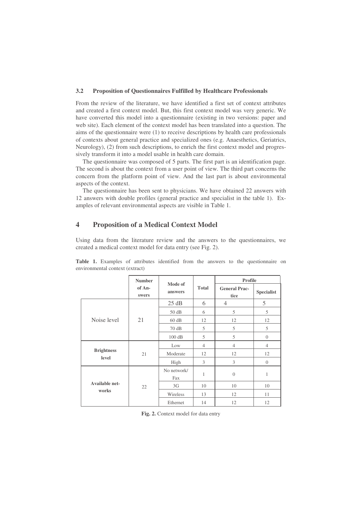#### **3.2 Proposition of Questionnaires Fulfilled by Healthcare Professionals**

From the review of the literature, we have identified a first set of context attributes and created a first context model. But, this first context model was very generic. We have converted this model into a questionnaire (existing in two versions: paper and web site). Each element of the context model has been translated into a question. The aims of the questionnaire were (1) to receive descriptions by health care professionals of contexts about general practice and specialized ones (e.g. Anaesthetics, Geriatrics, Neurology), (2) from such descriptions, to enrich the first context model and progressively transform it into a model usable in health care domain.

The questionnaire was composed of 5 parts. The first part is an identification page. The second is about the context from a user point of view. The third part concerns the concern from the platform point of view. And the last part is about environmental aspects of the context.

The questionnaire has been sent to physicians. We have obtained 22 answers with 12 answers with double profiles (general practice and specialist in the table 1). Examples of relevant environmental aspects are visible in Table 1.

#### **4 Proposition of a Medical Context Model**

Using data from the literature review and the answers to the questionnaires, we created a medical context model for data entry (see Fig. 2).

|                            | <b>Number</b><br>of An-<br>swers | Mode of<br>answers | <b>Total</b>   | Profile                      |                   |
|----------------------------|----------------------------------|--------------------|----------------|------------------------------|-------------------|
|                            |                                  |                    |                | <b>General Prac-</b><br>tice | <b>Specialist</b> |
| Noise level                | 21                               | 25 dB              | 6              | $\overline{4}$               | 5                 |
|                            |                                  | 50dB               | 6              | 5                            | 5                 |
|                            |                                  | 60 dB              | 12             | 12                           | 12                |
|                            |                                  | 70 dB              | 5              | 5                            | 5                 |
|                            |                                  | 100 dB             | 5              | 5                            | $\overline{0}$    |
| <b>Brightness</b><br>level | 21                               | Low                | $\overline{4}$ | $\overline{4}$               | $\overline{4}$    |
|                            |                                  | Moderate           | 12             | 12                           | 12                |
|                            |                                  | High               | 3              | 3                            | $\Omega$          |
| Available net-<br>works    | 22                               | No network/<br>Fax | 1              | $\overline{0}$               | 1                 |
|                            |                                  | 3 <sub>G</sub>     | 10             | 10                           | 10                |
|                            |                                  | Wireless           | 13             | 12                           | 11                |
|                            |                                  | Ethernet           | 14             | 12                           | 12                |

**Table 1.** Examples of attributes identified from the answers to the questionnaire on environmental context (extract)

**Fig. 2.** Context model for data entry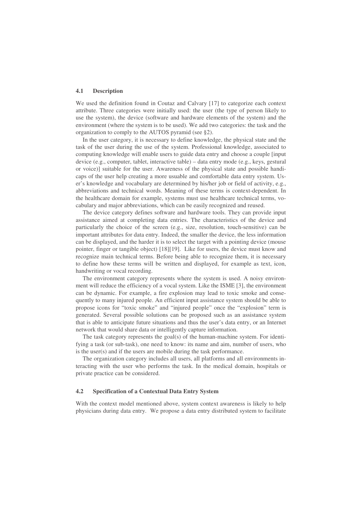#### **4.1 Description**

We used the definition found in Coutaz and Calvary [17] to categorize each context attribute. Three categories were initially used: the user (the type of person likely to use the system), the device (software and hardware elements of the system) and the environment (where the system is to be used). We add two categories: the task and the organization to comply to the AUTOS pyramid (see §2).

In the user category, it is necessary to define knowledge, the physical state and the task of the user during the use of the system. Professional knowledge, associated to computing knowledge will enable users to guide data entry and choose a couple [input device (e.g., computer, tablet, interactive table) – data entry mode (e.g., keys, gestural or voice)] suitable for the user. Awareness of the physical state and possible handicaps of the user help creating a more usuable and comfortable data entry system. User's knowledge and vocabulary are determined by his/her job or field of activity, e.g., abbreviations and technical words. Meaning of these terms is context-dependent. In the healthcare domain for example, systems must use healthcare technical terms, vocabulary and major abbreviations, which can be easily recognized and reused.

The device category defines software and hardware tools. They can provide input assistance aimed at completing data entries. The characteristics of the device and particularly the choice of the screen (e.g., size, resolution, touch-sensitive) can be important attributes for data entry. Indeed, the smaller the device, the less information can be displayed, and the harder it is to select the target with a pointing device (mouse pointer, finger or tangible object) [18][19]. Like for users, the device must know and recognize main technical terms. Before being able to recognize them, it is necessary to define how these terms will be written and displayed, for example as text, icon, handwriting or vocal recording.

The environment category represents where the system is used. A noisy environment will reduce the efficiency of a vocal system. Like the ISME [3], the environment can be dynamic. For example, a fire explosion may lead to toxic smoke and consequently to many injured people. An efficient input assistance system should be able to propose icons for "toxic smoke" and "injured people" once the "explosion" term is generated. Several possible solutions can be proposed such as an assistance system that is able to anticipate future situations and thus the user's data entry, or an Internet network that would share data or intelligently capture information.

The task category represents the goal(s) of the human-machine system. For identifying a task (or sub-task), one need to know: its name and aim, number of users, who is the user(s) and if the users are mobile during the task performance.

The organization category includes all users, all platforms and all environments interacting with the user who performs the task. In the medical domain, hospitals or private practice can be considered.

#### **4.2 Specification of a Contextual Data Entry System**

With the context model mentioned above, system context awareness is likely to help physicians during data entry. We propose a data entry distributed system to facilitate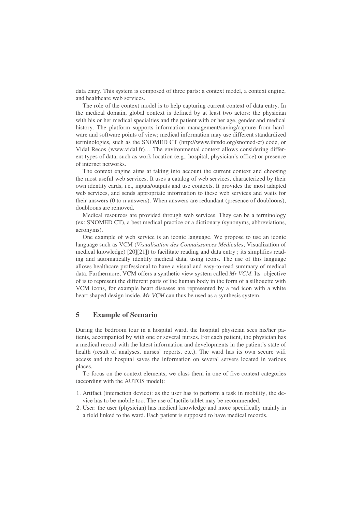data entry. This system is composed of three parts: a context model, a context engine, and healthcare web services.

The role of the context model is to help capturing current context of data entry. In the medical domain, global context is defined by at least two actors: the physician with his or her medical specialties and the patient with or her age, gender and medical history. The platform supports information management/saving/capture from hardware and software points of view; medical information may use different standardized terminologies, such as the SNOMED CT (http://www.ihtsdo.org/snomed-ct) code, or Vidal Recos (www.vidal.fr)… The environmental context allows considering different types of data, such as work location (e.g., hospital, physician's office) or presence of internet networks.

The context engine aims at taking into account the current context and choosing the most useful web services. It uses a catalog of web services, characterized by their own identity cards, i.e., inputs/outputs and use contexts. It provides the most adapted web services, and sends appropriate information to these web services and waits for their answers (0 to n answers). When answers are redundant (presence of doubloons), doubloons are removed.

Medical resources are provided through web services. They can be a terminology (ex: SNOMED CT), a best medical practice or a dictionary (synonyms, abbreviations, acronyms).

One example of web service is an iconic language. We propose to use an iconic language such as VCM (*Visualisation des Connaissances Médicales*; Visualization of medical knowledge) [20][21]) to facilitate reading and data entry ; its simplifies reading and automatically identify medical data, using icons. The use of this language allows healthcare professional to have a visual and easy-to-read summary of medical data. Furthermore, VCM offers a synthetic view system called *Mr VCM*. Its objective of is to represent the different parts of the human body in the form of a silhouette with VCM icons, for example heart diseases are represented by a red icon with a white heart shaped design inside. *Mr VCM* can thus be used as a synthesis system.

#### **5 Example of Scenario**

During the bedroom tour in a hospital ward, the hospital physician sees his/her patients, accompanied by with one or several nurses. For each patient, the physician has a medical record with the latest information and developments in the patient's state of health (result of analyses, nurses' reports, etc.). The ward has its own secure wifi access and the hospital saves the information on several servers located in various places.

To focus on the context elements, we class them in one of five context categories (according with the AUTOS model):

- 1. Artifact (interaction device): as the user has to perform a task in mobility, the device has to be mobile too. The use of tactile tablet may be recommended.
- 2. User: the user (physician) has medical knowledge and more specifically mainly in a field linked to the ward. Each patient is supposed to have medical records.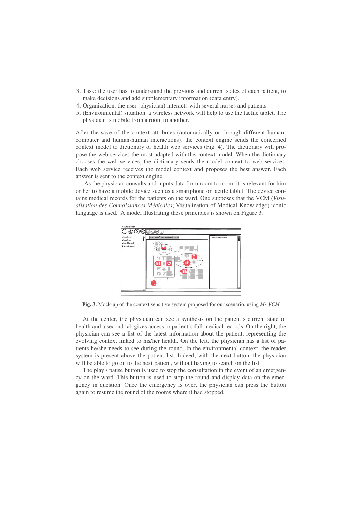- 3. Task: the user has to understand the previous and current states of each patient, to make decisions and add supplementary information (data entry).
- 4. Organization: the user (physician) interacts with several nurses and patients.
- 5. (Environmental) situation: a wireless network will help to use the tactile tablet. The physician is mobile from a room to another.

After the save of the context attributes (automatically or through different humancomputer and human-human interactions), the context engine sends the concerned context model to dictionary of health web services (Fig. 4). The dictionary will propose the web services the most adapted with the context model. When the dictionary chooses the web services, the dictionary sends the model context to web services. Each web service receives the model context and proposes the best answer. Each answer is sent to the context engine.

 As the physician consults and inputs data from room to room, it is relevant for him or her to have a mobile device such as a smartphone or tactile tablet. The device contains medical records for the patients on the ward. One supposes that the VCM (*Visualisation des Connaissances Médicales*; Visualization of Medical Knowledge) iconic language is used. A model illustrating these principles is shown on Figure 3.



**Fig. 3.** Mock-up of the context sensitive system proposed for our scenario, using *Mr VCM* 

At the center, the physician can see a synthesis on the patient's current state of health and a second tab gives access to patient's full medical records. On the right, the physician can see a list of the latest information about the patient, representing the evolving context linked to his/her health. On the left, the physician has a list of patients he/she needs to see during the round. In the environmental context, the reader system is present above the patient list. Indeed, with the next button, the physician will be able to go on to the next patient, without having to search on the list.

The play / pause button is used to stop the consultation in the event of an emergency on the ward. This button is used to stop the round and display data on the emergency in question. Once the emergency is over, the physician can press the button again to resume the round of the rooms where it had stopped.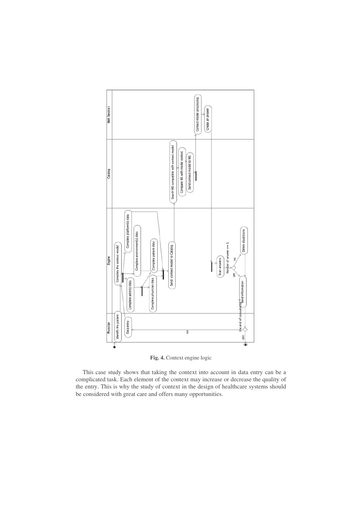

**Fig. 4.** Context engine logic

This case study shows that taking the context into account in data entry can be a complicated task. Each element of the context may increase or decrease the quality of the entry. This is why the study of context in the design of healthcare systems should be considered with great care and offers many opportunities.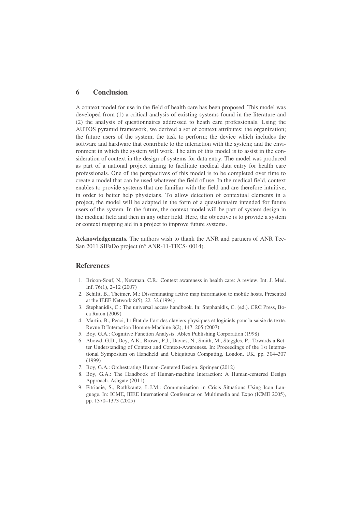#### **6 Conclusion**

A context model for use in the field of health care has been proposed. This model was developed from (1) a critical analysis of existing systems found in the literature and (2) the analysis of questionnaires addressed to heath care professionals. Using the AUTOS pyramid framework, we derived a set of context attributes: the organization; the future users of the system; the task to perform; the device which includes the software and hardware that contribute to the interaction with the system; and the environment in which the system will work. The aim of this model is to assist in the consideration of context in the design of systems for data entry. The model was produced as part of a national project aiming to facilitate medical data entry for health care professionals. One of the perspectives of this model is to be completed over time to create a model that can be used whatever the field of use. In the medical field, context enables to provide systems that are familiar with the field and are therefore intuitive, in order to better help physicians. To allow detection of contextual elements in a project, the model will be adapted in the form of a questionnaire intended for future users of the system. In the future, the context model will be part of system design in the medical field and then in any other field. Here, the objective is to provide a system or context mapping aid in a project to improve future systems.

**Acknowledgements.** The authors wish to thank the ANR and partners of ANR Tec-San 2011 SIFaDo project (n° ANR-11-TECS- 0014).

#### **References**

- 1. Bricon-Souf, N., Newman, C.R.: Context awareness in health care: A review. Int. J. Med. Inf. 76(1), 2–12 (2007)
- 2. Schilit, B., Theimer, M.: Disseminating active map information to mobile hosts. Presented at the IEEE Network 8(5), 22–32 (1994)
- 3. Stephanidis, C.: The universal access handbook. In: Stephanidis, C. (ed.). CRC Press, Boca Raton (2009)
- 4. Martin, B., Pecci, I.: État de l'art des claviers physiques et logiciels pour la saisie de texte. Revue D'Interaction Homme-Machine 8(2), 147–205 (2007)
- 5. Boy, G.A.: Cognitive Function Analysis. Ablex Publishing Corporation (1998)
- 6. Abowd, G.D., Dey, A.K., Brown, P.J., Davies, N., Smith, M., Steggles, P.: Towards a Better Understanding of Context and Context-Awareness. In: Proceedings of the 1st International Symposium on Handheld and Ubiquitous Computing, London, UK, pp. 304–307 (1999)
- 7. Boy, G.A.: Orchestrating Human-Centered Design. Springer (2012)
- 8. Boy, G.A.: The Handbook of Human-machine Interaction: A Human-centered Design Approach. Ashgate (2011)
- 9. Fitrianie, S., Rothkrantz, L.J.M.: Communication in Crisis Situations Using Icon Language. In: ICME, IEEE International Conference on Multimedia and Expo (ICME 2005), pp. 1370–1373 (2005)